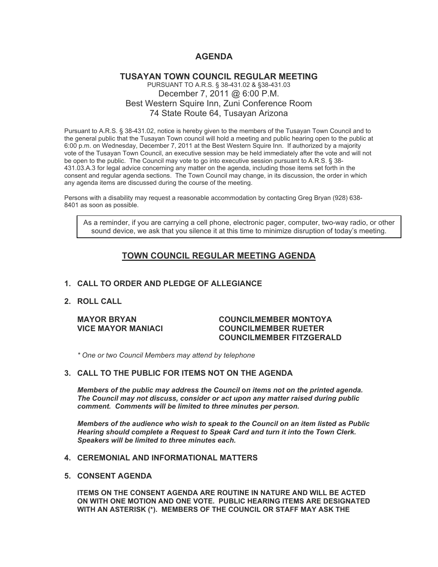## **AGENDA**

### **TUSAYAN TOWN COUNCIL REGULAR MEETING** PURSUANT TO A.R.S. § 38-431.02 & §38-431.03 December 7, 2011 @ 6:00 P.M. Best Western Squire Inn, Zuni Conference Room 74 State Route 64, Tusayan Arizona

Pursuant to A.R.S. § 38-431.02, notice is hereby given to the members of the Tusayan Town Council and to the general public that the Tusayan Town council will hold a meeting and public hearing open to the public at 6:00 p.m. on Wednesday, December 7, 2011 at the Best Western Squire Inn. If authorized by a majority vote of the Tusayan Town Council, an executive session may be held immediately after the vote and will not be open to the public. The Council may vote to go into executive session pursuant to A.R.S. § 38- 431.03.A.3 for legal advice concerning any matter on the agenda, including those items set forth in the consent and regular agenda sections. The Town Council may change, in its discussion, the order in which any agenda items are discussed during the course of the meeting.

Persons with a disability may request a reasonable accommodation by contacting Greg Bryan (928) 638- 8401 as soon as possible.

As a reminder, if you are carrying a cell phone, electronic pager, computer, two-way radio, or other sound device, we ask that you silence it at this time to minimize disruption of today's meeting.

# **TOWN COUNCIL REGULAR MEETING AGENDA**

#### **1. CALL TO ORDER AND PLEDGE OF ALLEGIANCE**

**2. ROLL CALL**

#### **MAYOR BRYAN COUNCILMEMBER MONTOYA VICE MAYOR MANIACI COUNCILMEMBER RUETER COUNCILMEMBER FITZGERALD**

*\* One or two Council Members may attend by telephone*

#### **3. CALL TO THE PUBLIC FOR ITEMS NOT ON THE AGENDA**

*Members of the public may address the Council* **o***n items not on the printed agenda. The Council may not discuss, consider or act upon any matter raised during public comment. Comments will be limited to three minutes per person.*

*Members of the audience who wish to speak to the Council on an item listed as Public Hearing should complete a Request to Speak Card and turn it into the Town Clerk. Speakers will be limited to three minutes each.*

#### **4. CEREMONIAL AND INFORMATIONAL MATTERS**

**5. CONSENT AGENDA**

**ITEMS ON THE CONSENT AGENDA ARE ROUTINE IN NATURE AND WILL BE ACTED ON WITH ONE MOTION AND ONE VOTE. PUBLIC HEARING ITEMS ARE DESIGNATED WITH AN ASTERISK (\*). MEMBERS OF THE COUNCIL OR STAFF MAY ASK THE**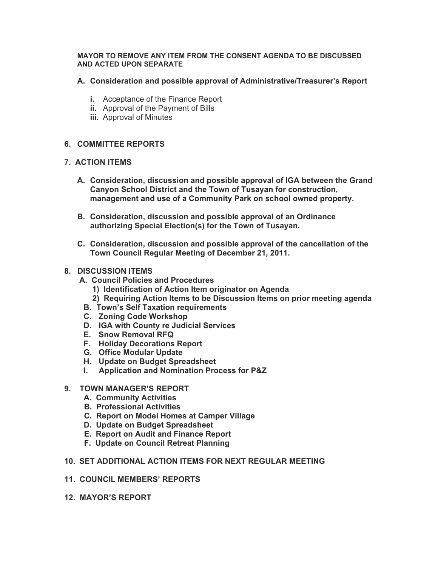#### **MAYOR TO REMOVE ANY ITEM FROM THE CONSENT AGENDA TO BE DISCUSSED AND ACTED UPON SEPARATE**

### **A. Consideration and possible approval of Administrative/Treasurer's Report**

- **i.** Acceptance of the Finance Report
- **ii.** Approval of the Payment of Bills
- **iii.** Approval of Minutes

### **6. COMMITTEE REPORTS**

### **7. ACTION ITEMS**

- **A. Consideration, discussion and possible approval of IGA between the Grand Canyon School District and the Town of Tusayan for construction, management and use of a Community Park on school owned property.**
- **B. Consideration, discussion and possible approval of an Ordinance authorizing Special Election(s) for the Town of Tusayan.**
- **C. Consideration, discussion and possible approval of the cancellation of the Town Council Regular Meeting of December 21, 2011.**

### **8. DISCUSSION ITEMS**

- **A. Council Policies and Procedures**
	- **1) Identification of Action Item originator on Agenda**
	- **2) Requiring Action Items to be Discussion Items on prior meeting agenda**
	- **B. Town's Self Taxation requirements**
	- **C. Zoning Code Workshop**
	- **D. IGA with County re Judicial Services**
	- **E. Snow Removal RFQ**
- **F. Holiday Decorations Report**
- **G. Office Modular Update**
- **H. Update on Budget Spreadsheet**
- **I. Application and Nomination Process for P&Z**

#### **9. TOWN MANAGER'S REPORT**

- **A. Community Activities**
- **B. Professional Activities**
- **C. Report on Model Homes at Camper Village**
- **D. Update on Budget Spreadsheet**
- **E. Report on Audit and Finance Report**
- **F. Update on Council Retreat Planning**

### **10. SET ADDITIONAL ACTION ITEMS FOR NEXT REGULAR MEETING**

- **11. COUNCIL MEMBERS' REPORTS**
- **12. MAYOR'S REPORT**